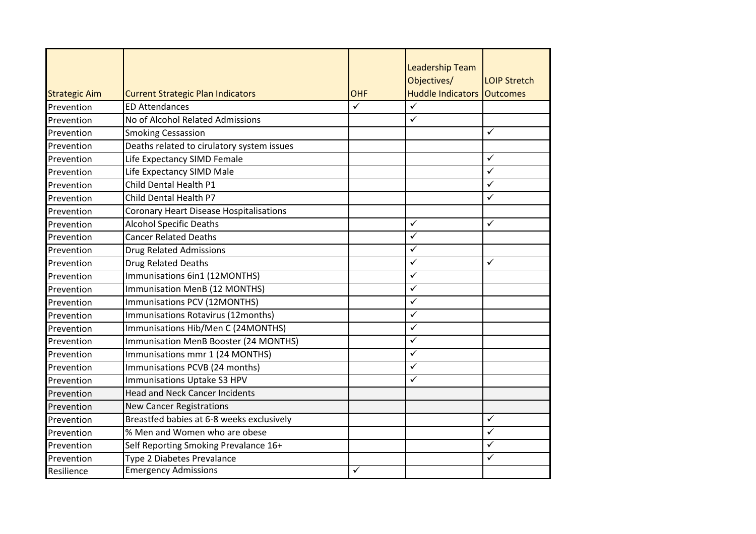|                      |                                                |                         | <b>Leadership Team</b>            |                     |
|----------------------|------------------------------------------------|-------------------------|-----------------------------------|---------------------|
|                      |                                                |                         | Objectives/                       | <b>LOIP Stretch</b> |
| <b>Strategic Aim</b> | <b>Current Strategic Plan Indicators</b>       | <b>OHF</b>              | <b>Huddle Indicators Outcomes</b> |                     |
| Prevention           | <b>ED Attendances</b>                          | $\overline{\checkmark}$ | $\checkmark$                      |                     |
| Prevention           | No of Alcohol Related Admissions               |                         | $\checkmark$                      |                     |
| Prevention           | <b>Smoking Cessassion</b>                      |                         |                                   | $\checkmark$        |
| Prevention           | Deaths related to cirulatory system issues     |                         |                                   |                     |
| Prevention           | Life Expectancy SIMD Female                    |                         |                                   | ✓                   |
| Prevention           | Life Expectancy SIMD Male                      |                         |                                   | ✓                   |
| Prevention           | Child Dental Health P1                         |                         |                                   | $\checkmark$        |
| Prevention           | Child Dental Health P7                         |                         |                                   | $\checkmark$        |
| Prevention           | <b>Coronary Heart Disease Hospitalisations</b> |                         |                                   |                     |
| Prevention           | <b>Alcohol Specific Deaths</b>                 |                         | $\checkmark$                      | $\checkmark$        |
| Prevention           | <b>Cancer Related Deaths</b>                   |                         | $\checkmark$                      |                     |
| Prevention           | <b>Drug Related Admissions</b>                 |                         | $\overline{\checkmark}$           |                     |
| Prevention           | Drug Related Deaths                            |                         | $\checkmark$                      | $\checkmark$        |
| Prevention           | Immunisations 6in1 (12MONTHS)                  |                         | $\checkmark$                      |                     |
| Prevention           | Immunisation MenB (12 MONTHS)                  |                         | $\checkmark$                      |                     |
| Prevention           | Immunisations PCV (12MONTHS)                   |                         | $\checkmark$                      |                     |
| Prevention           | Immunisations Rotavirus (12months)             |                         | $\checkmark$                      |                     |
| Prevention           | Immunisations Hib/Men C (24MONTHS)             |                         | $\checkmark$                      |                     |
| Prevention           | Immunisation MenB Booster (24 MONTHS)          |                         | $\checkmark$                      |                     |
| Prevention           | Immunisations mmr 1 (24 MONTHS)                |                         | $\checkmark$                      |                     |
| Prevention           | Immunisations PCVB (24 months)                 |                         | $\overline{\checkmark}$           |                     |
| Prevention           | Immunisations Uptake S3 HPV                    |                         | $\checkmark$                      |                     |
| Prevention           | <b>Head and Neck Cancer Incidents</b>          |                         |                                   |                     |
| Prevention           | <b>New Cancer Registrations</b>                |                         |                                   |                     |
| Prevention           | Breastfed babies at 6-8 weeks exclusively      |                         |                                   | $\checkmark$        |
| Prevention           | % Men and Women who are obese                  |                         |                                   | $\checkmark$        |
| Prevention           | Self Reporting Smoking Prevalance 16+          |                         |                                   | $\checkmark$        |
| Prevention           | Type 2 Diabetes Prevalance                     |                         |                                   | $\checkmark$        |
| Resilience           | <b>Emergency Admissions</b>                    | ✓                       |                                   |                     |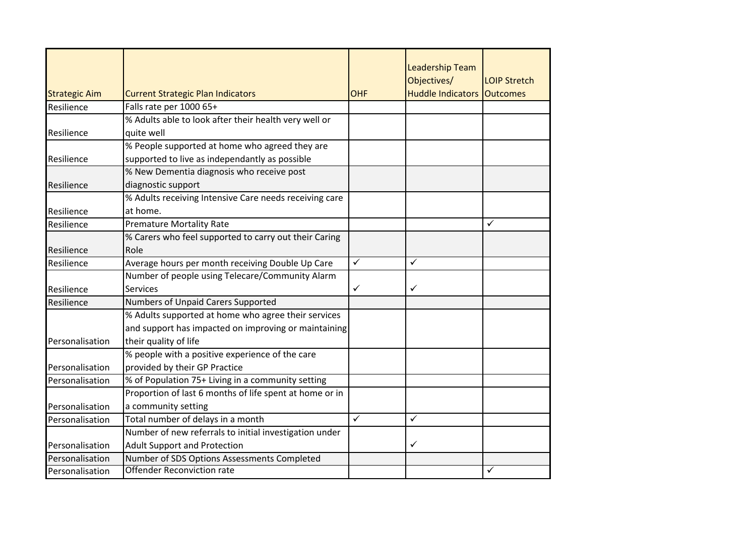|                      |                                                         |              | <b>Leadership Team</b>   |                     |
|----------------------|---------------------------------------------------------|--------------|--------------------------|---------------------|
|                      |                                                         |              | Objectives/              | <b>LOIP Stretch</b> |
| <b>Strategic Aim</b> | <b>Current Strategic Plan Indicators</b>                | <b>OHF</b>   | <b>Huddle Indicators</b> | <b>Outcomes</b>     |
| Resilience           | Falls rate per 1000 65+                                 |              |                          |                     |
|                      | % Adults able to look after their health very well or   |              |                          |                     |
| Resilience           | quite well                                              |              |                          |                     |
|                      | % People supported at home who agreed they are          |              |                          |                     |
| Resilience           | supported to live as independantly as possible          |              |                          |                     |
|                      | % New Dementia diagnosis who receive post               |              |                          |                     |
| Resilience           | diagnostic support                                      |              |                          |                     |
|                      | % Adults receiving Intensive Care needs receiving care  |              |                          |                     |
| Resilience           | at home.                                                |              |                          |                     |
| Resilience           | <b>Premature Mortality Rate</b>                         |              |                          | $\checkmark$        |
|                      | % Carers who feel supported to carry out their Caring   |              |                          |                     |
| Resilience           | Role                                                    |              |                          |                     |
| Resilience           | Average hours per month receiving Double Up Care        | $\checkmark$ | ✓                        |                     |
|                      | Number of people using Telecare/Community Alarm         |              |                          |                     |
| Resilience           | <b>Services</b>                                         | $\checkmark$ | ✓                        |                     |
| Resilience           | Numbers of Unpaid Carers Supported                      |              |                          |                     |
|                      | % Adults supported at home who agree their services     |              |                          |                     |
|                      | and support has impacted on improving or maintaining    |              |                          |                     |
| Personalisation      | their quality of life                                   |              |                          |                     |
|                      | % people with a positive experience of the care         |              |                          |                     |
| Personalisation      | provided by their GP Practice                           |              |                          |                     |
| Personalisation      | % of Population 75+ Living in a community setting       |              |                          |                     |
|                      | Proportion of last 6 months of life spent at home or in |              |                          |                     |
| Personalisation      | a community setting                                     |              |                          |                     |
| Personalisation      | Total number of delays in a month                       | $\checkmark$ | $\checkmark$             |                     |
|                      | Number of new referrals to initial investigation under  |              |                          |                     |
| Personalisation      | <b>Adult Support and Protection</b>                     |              | ✓                        |                     |
| Personalisation      | Number of SDS Options Assessments Completed             |              |                          |                     |
| Personalisation      | <b>Offender Reconviction rate</b>                       |              |                          | ✓                   |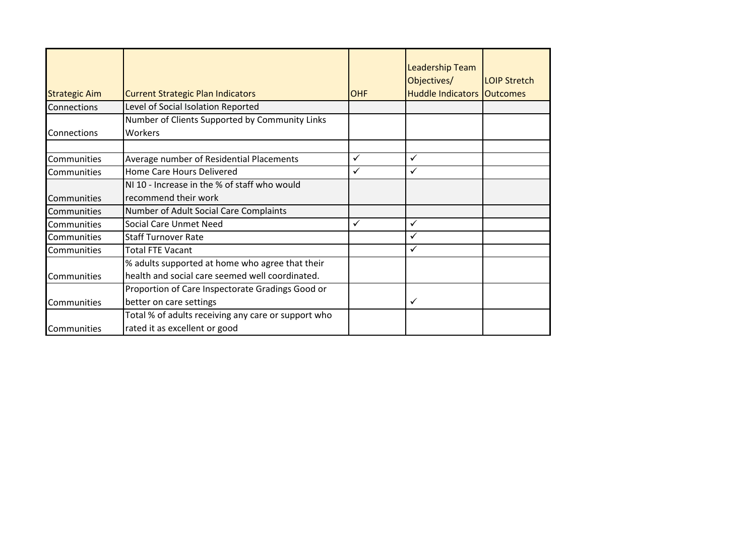| <b>Strategic Aim</b> | <b>Current Strategic Plan Indicators</b>            | <b>OHF</b>   | <b>Leadership Team</b><br>Objectives/<br><b>Huddle Indicators Outcomes</b> | <b>LOIP Stretch</b> |
|----------------------|-----------------------------------------------------|--------------|----------------------------------------------------------------------------|---------------------|
| Connections          | Level of Social Isolation Reported                  |              |                                                                            |                     |
|                      | Number of Clients Supported by Community Links      |              |                                                                            |                     |
| Connections          | Workers                                             |              |                                                                            |                     |
|                      |                                                     |              |                                                                            |                     |
| Communities          | Average number of Residential Placements            | $\checkmark$ | $\checkmark$                                                               |                     |
| Communities          | Home Care Hours Delivered                           | $\checkmark$ | $\checkmark$                                                               |                     |
|                      | NI 10 - Increase in the % of staff who would        |              |                                                                            |                     |
| Communities          | recommend their work                                |              |                                                                            |                     |
| Communities          | Number of Adult Social Care Complaints              |              |                                                                            |                     |
| Communities          | Social Care Unmet Need                              | $\checkmark$ | $\checkmark$                                                               |                     |
| Communities          | <b>Staff Turnover Rate</b>                          |              | $\checkmark$                                                               |                     |
| Communities          | <b>Total FTE Vacant</b>                             |              | ✓                                                                          |                     |
|                      | % adults supported at home who agree that their     |              |                                                                            |                     |
| Communities          | health and social care seemed well coordinated.     |              |                                                                            |                     |
|                      | Proportion of Care Inspectorate Gradings Good or    |              |                                                                            |                     |
| Communities          | better on care settings                             |              | $\checkmark$                                                               |                     |
|                      | Total % of adults receiving any care or support who |              |                                                                            |                     |
| Communities          | rated it as excellent or good                       |              |                                                                            |                     |